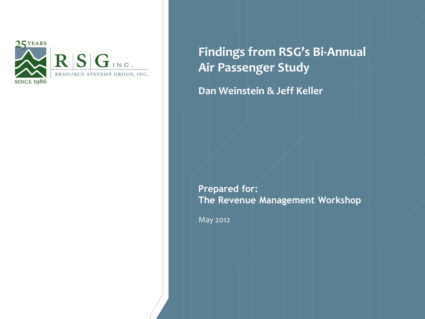

**Findings from RSG's Bi-Annual Air Passenger Study**

**Dan Weinstein & Jeff Keller**

**Prepared for: The Revenue Management Workshop**

May 2012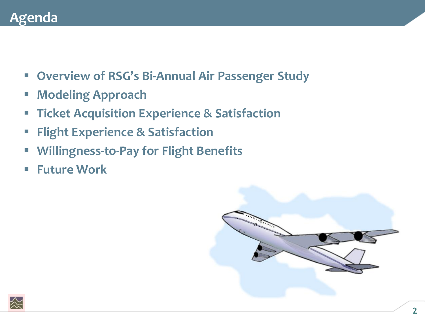### **Agenda**

- **Overview of RSG's Bi-Annual Air Passenger Study**
- **Modeling Approach**
- **Ticket Acquisition Experience & Satisfaction**
- **Flight Experience & Satisfaction**
- **Willingness-to-Pay for Flight Benefits**
- **Future Work**



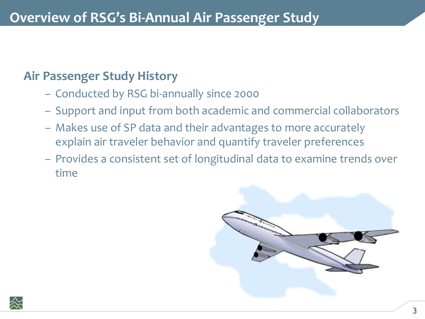#### **Air Passenger Study History**

- Conducted by RSG bi-annually since 2000
- Support and input from both academic and commercial collaborators
- Makes use of SP data and their advantages to more accurately explain air traveler behavior and quantify traveler preferences
- Provides a consistent set of longitudinal data to examine trends over time



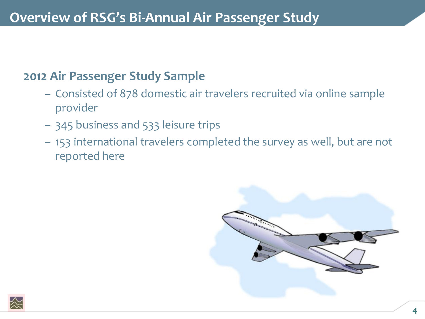#### **2012 Air Passenger Study Sample**

- Consisted of 878 domestic air travelers recruited via online sample provider
- 345 business and 533 leisure trips
- 153 international travelers completed the survey as well, but are not reported here



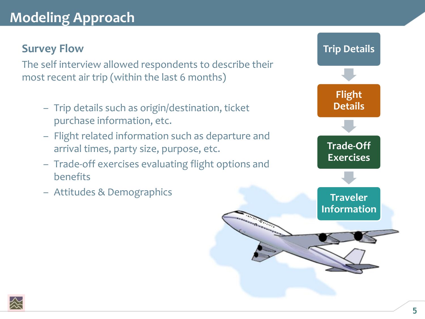# **Modeling Approach**

#### **Survey Flow**

The self interview allowed respondents to describe their most recent air trip (within the last 6 months)

- Trip details such as origin/destination, ticket purchase information, etc.
- Flight related information such as departure and arrival times, party size, purpose, etc.
- Trade-off exercises evaluating flight options and benefits
- Attitudes & Demographics



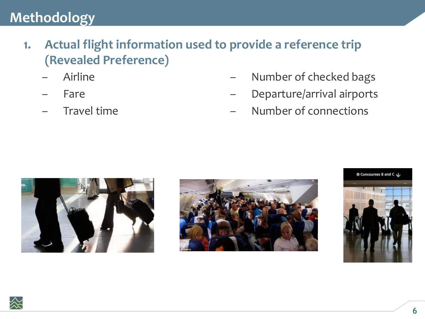- **1. Actual flight information used to provide a reference trip (Revealed Preference)**
	- Airline
	- Fare
	- Travel time
- Number of checked bags
- Departure/arrival airports
- Number of connections







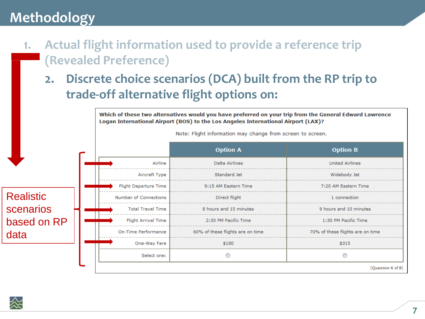- Actual flight information used to provide a reference trip 1. (Revealed Preference)
	- **2. Discrete choice scenarios (DCA) built from the RP trip to trade-off alternative flight options on:**



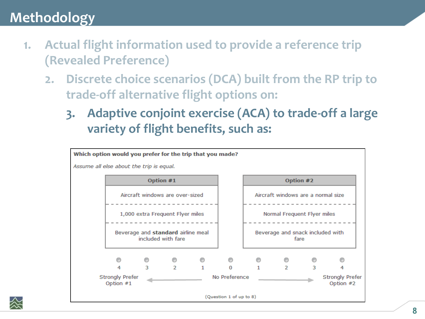- Actual flight information used to provide a reference trip  $1.$ **(Revealed Preference)** 
	- Discrete choice scenarios (DCA) built from the RP trip to  $2.$ trade-off alternative flight options on:
		- **3. Adaptive conjoint exercise (ACA) to trade-off a large variety of flight benefits, such as:**

| Which option would you prefer for the trip that you made? |                                                          |   |               |               |                         |                             |                                    |                                     |   |
|-----------------------------------------------------------|----------------------------------------------------------|---|---------------|---------------|-------------------------|-----------------------------|------------------------------------|-------------------------------------|---|
| Assume all else about the trip is equal.                  |                                                          |   |               |               |                         |                             |                                    |                                     |   |
|                                                           | Option #1                                                |   |               |               |                         |                             | Option #2                          |                                     |   |
|                                                           | Aircraft windows are over-sized                          |   |               |               |                         |                             | Aircraft windows are a normal size |                                     |   |
|                                                           | 1,000 extra Frequent Flyer miles                         |   |               |               |                         | Normal Frequent Flyer miles |                                    |                                     |   |
|                                                           | Beverage and standard airline meal<br>included with fare |   |               |               |                         |                             | Beverage and snack included with   | fare                                |   |
|                                                           |                                                          |   |               |               |                         |                             |                                    |                                     |   |
|                                                           | 4                                                        | з | $\mathcal{P}$ |               | $\Omega$                | 1                           | $\mathcal{P}$                      | з                                   | 4 |
|                                                           | <b>Strongly Prefer</b><br>Option #1                      |   |               | No Preference |                         |                             |                                    | <b>Strongly Prefer</b><br>Option #2 |   |
|                                                           |                                                          |   |               |               | (Question 1 of up to 8) |                             |                                    |                                     |   |

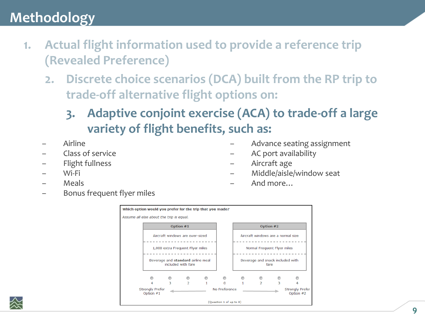- Actual flight information used to provide a reference trip 1. **(Revealed Preference)** 
	- Discrete choice scenarios (DCA) built from the RP trip to  $2.$ trade-off alternative flight options on:
		- **3. Adaptive conjoint exercise (ACA) to trade-off a large variety of flight benefits, such as:**
	- Airline
	- Class of service
	- Flight fullness
	- Wi-Fi
	- Meals
- Advance seating assignment
- AC port availability
- Aircraft age
- Middle/aisle/window seat
- And more…

– Bonus frequent flyer miles



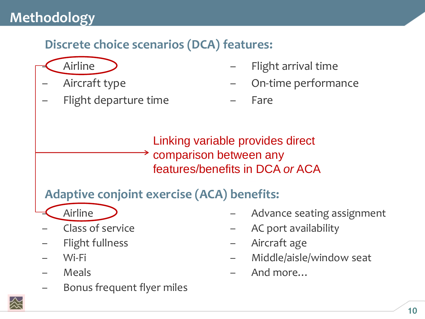### **Discrete choice scenarios (DCA) features:**



- Aircraft type
- Flight departure time
- Flight arrival time
- On-time performance

– Fare

Linking variable provides direct comparison between any features/benefits in DCA *or* ACA

**Adaptive conjoint exercise (ACA) benefits:**

- Airline
- Class of service
- Flight fullness
- Wi-Fi
- **Meals**
- Bonus frequent flyer miles
- Advance seating assignment
- AC port availability
- Aircraft age
- Middle/aisle/window seat
- And more…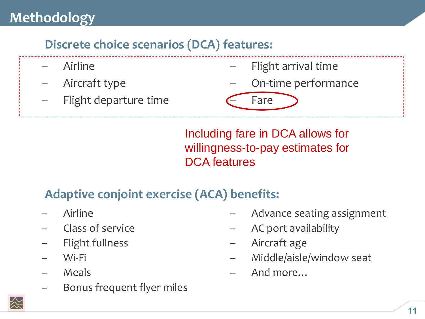### **Discrete choice scenarios (DCA) features:**

- Airline
- Aircraft type
- Flight departure time
- Flight arrival time
- On-time performance

– Fare

Including fare in DCA allows for willingness-to-pay estimates for DCA features

# **Adaptive conjoint exercise (ACA) benefits:**

- Airline
- Class of service
- Flight fullness
- Wi-Fi
- **Meals**
- Bonus frequent flyer miles
- Advance seating assignment
- AC port availability
- Aircraft age
- Middle/aisle/window seat
- And more…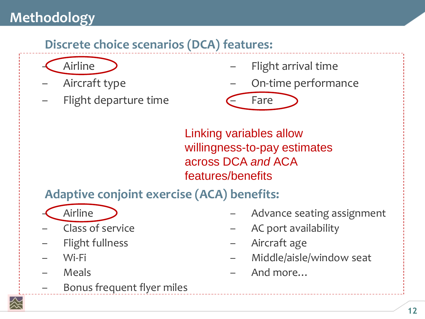# **Discrete choice scenarios (DCA) features:**



- Aircraft type
- Flight departure time
- Flight arrival time
- On-time performance

– Fare

Linking variables allow willingness-to-pay estimates across DCA *and* ACA features/benefits

**Adaptive conjoint exercise (ACA) benefits:**

- Airline
- Class of service
- Flight fullness
- Wi-Fi
- Meals
- Bonus frequent flyer miles
- Advance seating assignment
- AC port availability
- Aircraft age
- Middle/aisle/window seat
- And more…

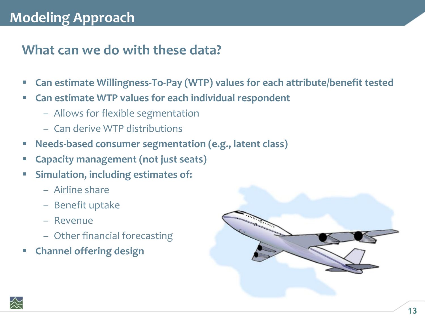# **Modeling Approach**

#### **What can we do with these data?**

- **Can estimate Willingness-To-Pay (WTP) values for each attribute/benefit tested**
- **Can estimate WTP values for each individual respondent**
	- Allows for flexible segmentation
	- Can derive WTP distributions
- **Needs-based consumer segmentation (e.g., latent class)**
- **Capacity management (not just seats)**
- **Simulation, including estimates of:**
	- Airline share
	- Benefit uptake
	- Revenue
	- Other financial forecasting
- **Channel offering design**



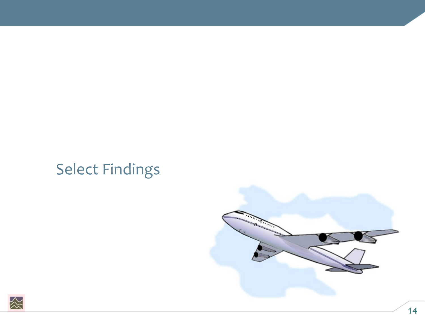# Select Findings



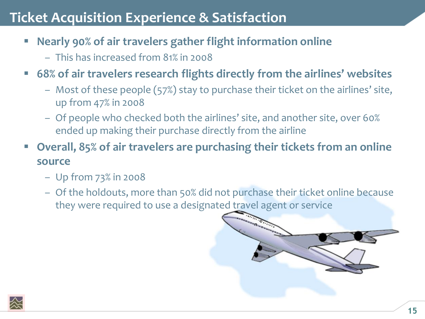# **Ticket Acquisition Experience & Satisfaction**

- **Nearly 90% of air travelers gather flight information online**
	- This has increased from 81% in 2008
- **68% of air travelers research flights directly from the airlines' websites**
	- Most of these people (57%) stay to purchase their ticket on the airlines' site, up from 47% in 2008
	- Of people who checked both the airlines' site, and another site, over 60% ended up making their purchase directly from the airline
- **Overall, 85% of air travelers are purchasing their tickets from an online source**
	- Up from 73% in 2008
	- Of the holdouts, more than 50% did not purchase their ticket online because they were required to use a designated travel agent or service



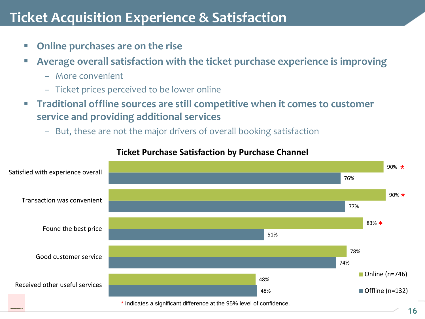### **Ticket Acquisition Experience & Satisfaction**

- **Online purchases are on the rise**
- **Average overall satisfaction with the ticket purchase experience is improving**
	- More convenient
	- Ticket prices perceived to be lower online
- **Traditional offline sources are still competitive when it comes to customer service and providing additional services**
	- But, these are not the major drivers of overall booking satisfaction



#### **Ticket Purchase Satisfaction by Purchase Channel**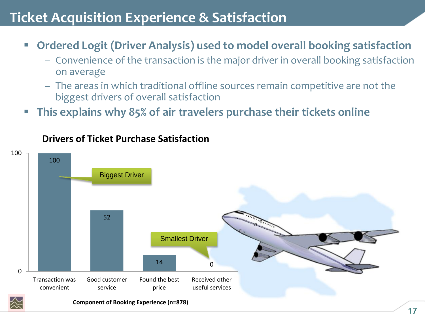# **Ticket Acquisition Experience & Satisfaction**

- **Ordered Logit (Driver Analysis) used to model overall booking satisfaction**
	- Convenience of the transaction is the major driver in overall booking satisfaction on average
	- The areas in which traditional offline sources remain competitive are not the biggest drivers of overall satisfaction
- **This explains why 85% of air travelers purchase their tickets online**



#### **Drivers of Ticket Purchase Satisfaction**

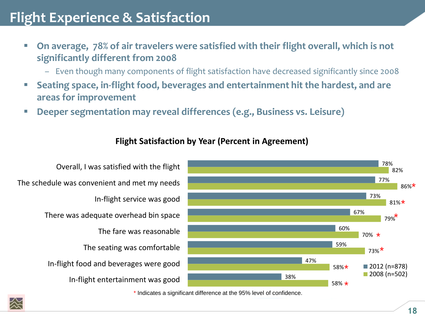# **Flight Experience & Satisfaction**

- On average, 78% of air travelers were satisfied with their flight overall, which is not **significantly different from 2008**
	- Even though many components of flight satisfaction have decreased significantly since 2008
- **Seating space, in-flight food, beverages and entertainment hit the hardest, and are areas for improvement**
- **Deeper segmentation may reveal differences (e.g., Business vs. Leisure)**



#### **Flight Satisfaction by Year (Percent in Agreement)**

In-flight entertainment was good In-flight food and beverages were good The seating was comfortable The fare was reasonable There was adequate overhead bin space In-flight service was good The schedule was convenient and met my needs

Overall, I was satisfied with the flight

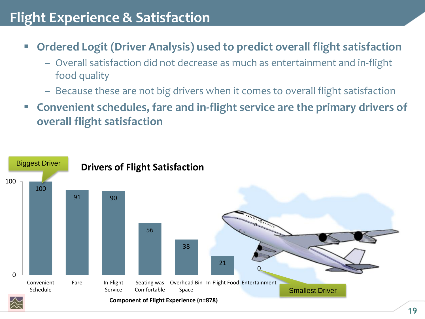### **Flight Experience & Satisfaction**

- **Ordered Logit (Driver Analysis) used to predict overall flight satisfaction**
	- Overall satisfaction did not decrease as much as entertainment and in-flight food quality
	- Because these are not big drivers when it comes to overall flight satisfaction
- **Convenient schedules, fare and in-flight service are the primary drivers of overall flight satisfaction**

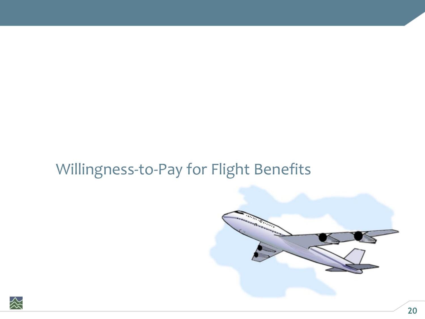

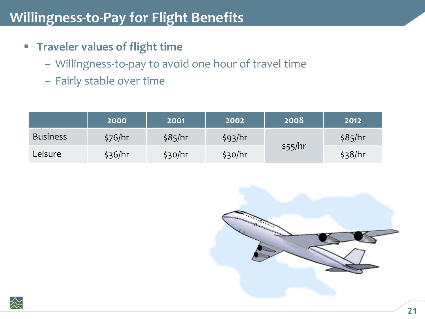- **Figure 1 Traveler values of flight time** 
	- Willingness-to-pay to avoid one hour of travel time
	- Fairly stable over time

|                 | <b>2000</b> | 2001    | 2002    | 2008    | 2012    |
|-----------------|-------------|---------|---------|---------|---------|
| <b>Business</b> | \$76/hr     | \$85/hr | \$93/hr |         | \$85/hr |
| Leisure         | \$36/hr     | \$30/hr | \$30/hr | \$55/hr | \$38/hr |



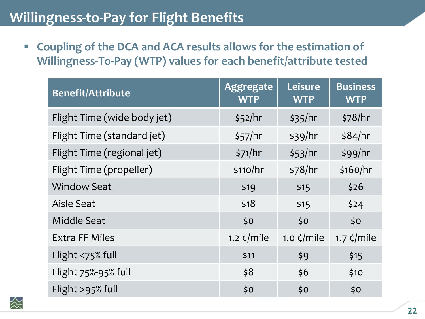**Coupling of the DCA and ACA results allows for the estimation of Willingness-To-Pay (WTP) values for each benefit/attribute tested**

| <b>Benefit/Attribute</b>    | <b>Aggregate</b><br><b>WTP</b> | Leisure<br><b>WTP</b> | <b>Business</b><br><b>WTP</b> |
|-----------------------------|--------------------------------|-----------------------|-------------------------------|
| Flight Time (wide body jet) | \$52/hr                        | \$35/hr               | \$78/hr                       |
| Flight Time (standard jet)  | \$57/hr                        | \$39/hr               | \$84/hr                       |
| Flight Time (regional jet)  | \$71/hr                        | \$53/hr               | \$99/hr                       |
| Flight Time (propeller)     | \$110/hr                       | \$78/hr               | \$160/hr                      |
| <b>Window Seat</b>          | \$19                           | \$15                  | \$26                          |
| Aisle Seat                  | \$18                           | \$15                  | \$24                          |
| Middle Seat                 | \$0                            | \$0                   | \$0                           |
| <b>Extra FF Miles</b>       | 1.2 $\zeta$ /mile              | 1.0 $\zeta$ /mile     | 1.7 $\zeta$ /mile             |
| Flight <75% full            | \$11                           | \$9                   | \$15                          |
| Flight 75%-95% full         | \$8                            | \$6                   | \$10                          |
| Flight >95% full            | \$0                            | \$0                   | \$0                           |

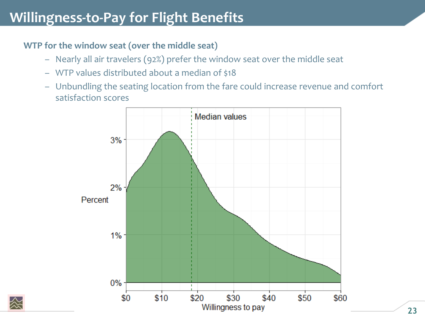#### **WTP for the window seat (over the middle seat)**

- Nearly all air travelers (92%) prefer the window seat over the middle seat
- WTP values distributed about a median of \$18
- Unbundling the seating location from the fare could increase revenue and comfort satisfaction scores



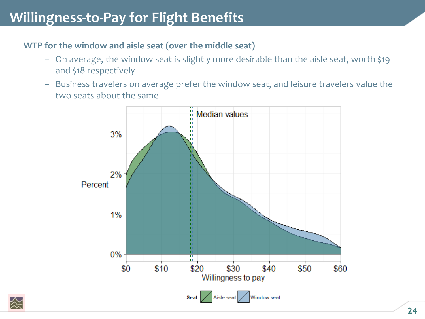#### **WTP for the window and aisle seat (over the middle seat)**

- On average, the window seat is slightly more desirable than the aisle seat, worth \$19 and \$18 respectively
- Business travelers on average prefer the window seat, and leisure travelers value the two seats about the same



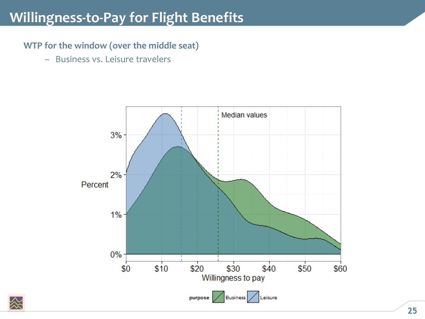**WTP for the window (over the middle seat)**

– Business vs. Leisure travelers



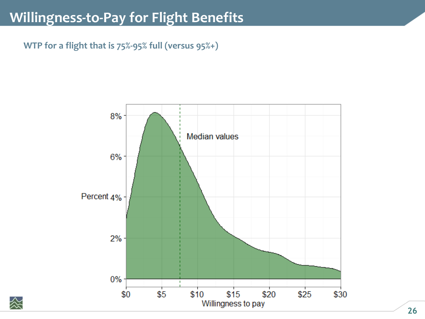**WTP for a flight that is 75%-95% full (versus 95%+)**



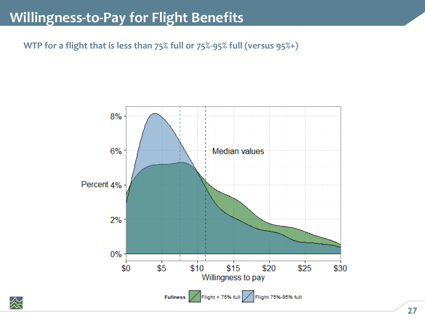**WTP for a flight that is less than 75% full or 75%-95% full (versus 95%+)**



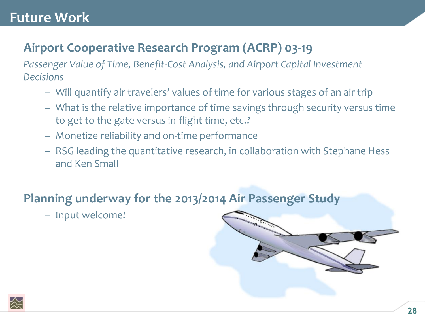### **Future Work**

### **Airport Cooperative Research Program (ACRP) 03-19**

*Passenger Value of Time, Benefit-Cost Analysis, and Airport Capital Investment Decisions*

- Will quantify air travelers' values of time for various stages of an air trip
- What is the relative importance of time savings through security versus time to get to the gate versus in-flight time, etc.?
- Monetize reliability and on-time performance
- RSG leading the quantitative research, in collaboration with Stephane Hess and Ken Small

#### **Planning underway for the 2013/2014 Air Passenger Study**

– Input welcome!



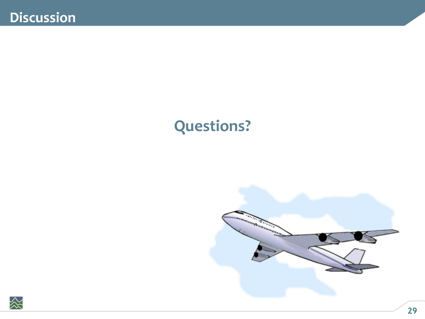# **Questions?**



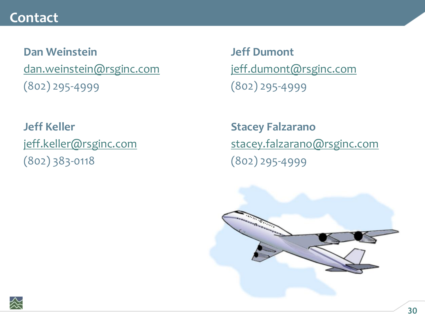#### **Contact**

**Dan Weinstein** [dan.weinstein@rsginc.com](mailto:Dan.weinstein@rsginc.com) (802) 295-4999

**Jeff Keller** [jeff.keller@rsginc.com](mailto:Jeff.keller@rsginc.com) (802) 383-0118

**Jeff Dumont** [jeff.dumont@rsginc.com](mailto:Dan.weinstein@rsginc.com) (802) 295-4999

**Stacey Falzarano** [stacey.falzarano@rsginc.com](mailto:Jeff.keller@rsginc.com) (802) 295-4999



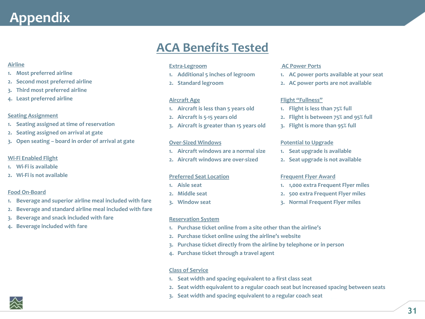#### **Airline**

- **1. Most preferred airline**
- **2. Second most preferred airline**
- **3. Third most preferred airline**
- **4. Least preferred airline**

#### **Seating Assignment**

- **1. Seating assigned at time of reservation**
- **2. Seating assigned on arrival at gate**
- **3. Open seating – board in order of arrival at gate**

#### **Wi-Fi Enabled Flight**

- **1. Wi-Fi is available**
- **2. Wi-Fi is not available**

#### **Food On-Board**

- **1. Beverage and superior airline meal included with fare**
- **2. Beverage and standard airline meal included with fare**
- **3. Beverage and snack included with fare**
- **4. Beverage included with fare**

#### **ACA Benefits Tested**

#### **Extra-Legroom**

- **1. Additional 5 inches of legroom**
- **2. Standard legroom**

#### **Aircraft Age**

- **1. Aircraft is less than 5 years old**
- **2. Aircraft is 5-15 years old**
- **3. Aircraft is greater than 15 years old**

#### **Over-Sized Windows**

- **1. Aircraft windows are a normal size**
- **2. Aircraft windows are over-sized**

#### **Preferred Seat Location**

- **1. Aisle seat**
- **2. Middle seat**
- **3. Window seat**

#### **Reservation System**

- **1. Purchase ticket online from a site other than the airline's**
- **2. Purchase ticket online using the airline's website**
- **3. Purchase ticket directly from the airline by telephone or in person**
- **4. Purchase ticket through a travel agent**

#### **Class of Service**

- **1. Seat width and spacing equivalent to a first class seat**
- **2. Seat width equivalent to a regular coach seat but increased spacing between seats**
- **3. Seat width and spacing equivalent to a regular coach seat**

#### **AC Power Ports**

- **1. AC power ports available at your seat**
- **2. AC power ports are not available**

#### **Flight "Fullness"**

- **1. Flight is less than 75% full**
- **2. Flight is between 75% and 95% full**
- **3. Flight is more than 95% full**

#### **Potential to Upgrade**

- **1. Seat upgrade is available**
- **2. Seat upgrade is not available**

#### **Frequent Flyer Award**

- **1. 1,000 extra Frequent Flyer miles**
- **2. 500 extra Frequent Flyer miles**
- **3. Normal Frequent Flyer miles**

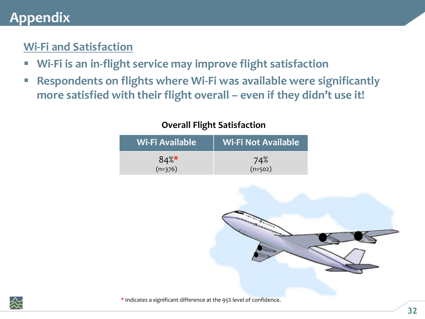#### **Wi-Fi and Satisfaction**

- **Wi-Fi is an in-flight service may improve flight satisfaction**
- **Respondents on flights where Wi-Fi was available were significantly more satisfied with their flight overall – even if they didn't use it!**

| Wi-Fi Available | Wi-Fi Not Available <sup>"</sup> |
|-----------------|----------------------------------|
| $84\%$          | 74%                              |
| $(n=376)$       | $(n=502)$                        |







\* Indicates a significant difference at the 95% level of confidence.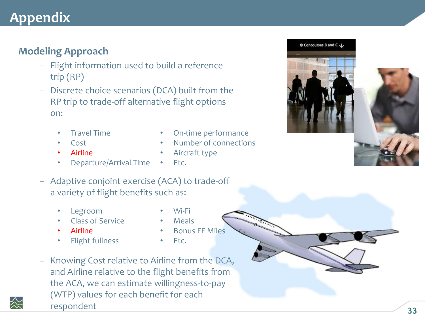#### **Modeling Approach**

- Flight information used to build a reference trip (RP)
- Discrete choice scenarios (DCA) built from the RP trip to trade-off alternative flight options on:
	- Travel Time
	- Cost
	- Airline
- On-time performance
- Number of connections
- Aircraft type
- Departure/Arrival Time
	- Etc.
- Adaptive conjoint exercise (ACA) to trade-off a variety of flight benefits such as:
	- Legroom
	- Class of Service
	- Airline
	- Flight fullness
- Wi-Fi • Meals
- Bonus FF Miles
- 
- Etc.
- Knowing Cost relative to Airline from the DCA, and Airline relative to the flight benefits from the ACA, we can estimate willingness-to-pay (WTP) values for each benefit for each respondent

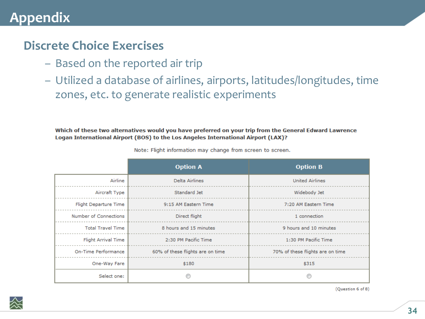#### **Discrete Choice Exercises**

- Based on the reported air trip
- Utilized a database of airlines, airports, latitudes/longitudes, time zones, etc. to generate realistic experiments

Which of these two alternatives would you have preferred on your trip from the General Edward Lawrence Logan International Airport (BOS) to the Los Angeles International Airport (LAX)?

|                            | <b>Option A</b>                  | <b>Option B</b>                  |
|----------------------------|----------------------------------|----------------------------------|
| Airline                    | Delta Airlines                   | <b>United Airlines</b>           |
| Aircraft Type              | Standard Jet                     | Widebody Jet                     |
| Flight Departure Time      | 9:15 AM Eastern Time             | 7:20 AM Eastern Time             |
| Number of Connections      | Direct flight                    | 1 connection                     |
| <b>Total Travel Time</b>   | 8 hours and 15 minutes           | 9 hours and 10 minutes           |
| <b>Flight Arrival Time</b> | 2:30 PM Pacific Time             | 1:30 PM Pacific Time             |
| On-Time Performance        | 60% of these flights are on time | 70% of these flights are on time |
| One-Way Fare               | \$180                            | \$315                            |
| Select one:                |                                  |                                  |

Note: Flight information may change from screen to screen.



(Question 6 of 8)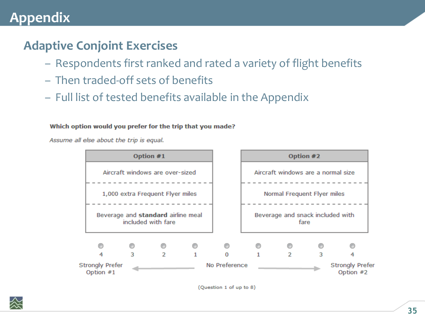#### **Adaptive Conjoint Exercises**

- Respondents first ranked and rated a variety of flight benefits
- Then traded-off sets of benefits
- Full list of tested benefits available in the Appendix

#### Which option would you prefer for the trip that you made?

Assume all else about the trip is equal.

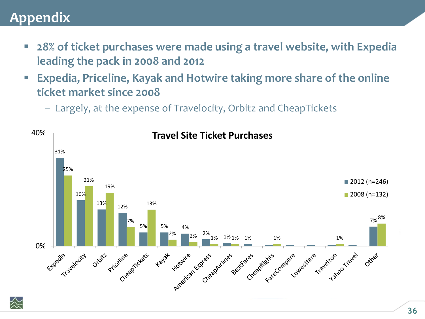- **28% of ticket purchases were made using a travel website, with Expedia leading the pack in 2008 and 2012**
- **Expedia, Priceline, Kayak and Hotwire taking more share of the online ticket market since 2008**
	- Largely, at the expense of Travelocity, Orbitz and CheapTickets

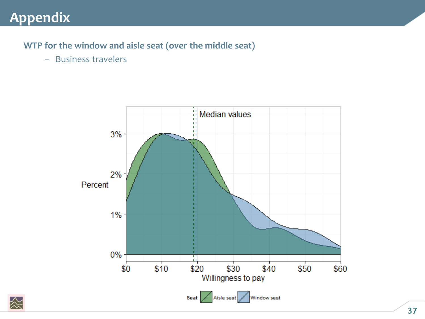#### **WTP for the window and aisle seat (over the middle seat)**

– Business travelers